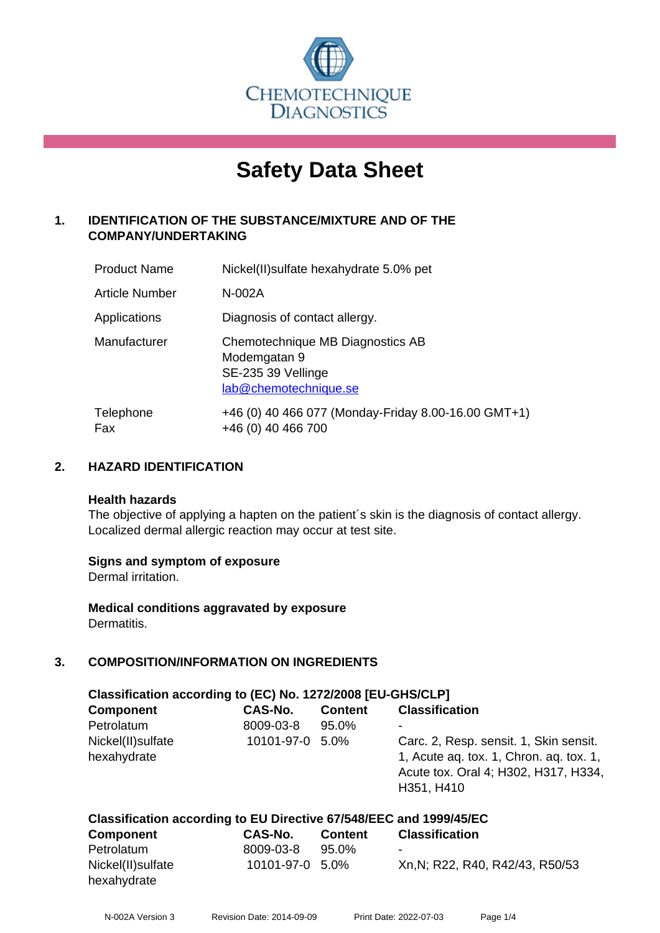

# **Safety Data Sheet**

## **1. IDENTIFICATION OF THE SUBSTANCE/MIXTURE AND OF THE COMPANY/UNDERTAKING**

| <b>Product Name</b> | Nickel(II) sulfate hexahydrate 5.0% pet                                                         |
|---------------------|-------------------------------------------------------------------------------------------------|
| Article Number      | N-002A                                                                                          |
| Applications        | Diagnosis of contact allergy.                                                                   |
| Manufacturer        | Chemotechnique MB Diagnostics AB<br>Modemgatan 9<br>SE-235 39 Vellinge<br>lab@chemotechnique.se |
| Telephone<br>Fax    | +46 (0) 40 466 077 (Monday-Friday 8.00-16.00 GMT+1)<br>+46 (0) 40 466 700                       |

## **2. HAZARD IDENTIFICATION**

#### **Health hazards**

The objective of applying a hapten on the patient's skin is the diagnosis of contact allergy. Localized dermal allergic reaction may occur at test site.

## **Signs and symptom of exposure**

Dermal irritation.

**Medical conditions aggravated by exposure** Dermatitis.

## **3. COMPOSITION/INFORMATION ON INGREDIENTS**

| Classification according to (EC) No. 1272/2008 [EU-GHS/CLP] |                 |                |                                                                                                                                         |  |
|-------------------------------------------------------------|-----------------|----------------|-----------------------------------------------------------------------------------------------------------------------------------------|--|
| <b>Component</b>                                            | CAS-No.         | <b>Content</b> | <b>Classification</b>                                                                                                                   |  |
| Petrolatum                                                  | 8009-03-8       | 95.0%          | ۰                                                                                                                                       |  |
| Nickel(II) sulfate<br>hexahydrate                           | 10101-97-0 5.0% |                | Carc. 2, Resp. sensit. 1, Skin sensit.<br>1, Acute ag. tox. 1, Chron. ag. tox. 1,<br>Acute tox. Oral 4; H302, H317, H334,<br>H351, H410 |  |

#### **Classification according to EU Directive 67/548/EEC and 1999/45/EC Component CAS-No. Content Classification**

| Component          | GAS-NO.         | Content | Classification                  |
|--------------------|-----------------|---------|---------------------------------|
| Petrolatum         | 8009-03-8       | 95.0%   | ۰                               |
| Nickel(II) sulfate | 10101-97-0 5.0% |         | Xn, N; R22, R40, R42/43, R50/53 |
| hexahydrate        |                 |         |                                 |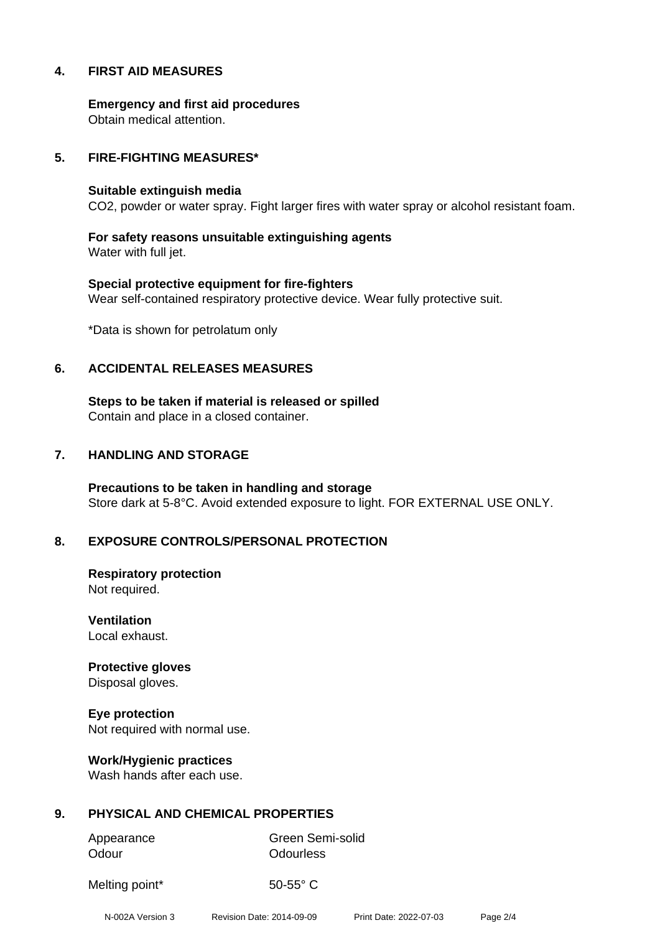## **4. FIRST AID MEASURES**

**Emergency and first aid procedures** Obtain medical attention.

## **5. FIRE-FIGHTING MEASURES\***

#### **Suitable extinguish media**

CO2, powder or water spray. Fight larger fires with water spray or alcohol resistant foam.

**For safety reasons unsuitable extinguishing agents** Water with full jet.

**Special protective equipment for fire-fighters** Wear self-contained respiratory protective device. Wear fully protective suit.

\*Data is shown for petrolatum only

## **6. ACCIDENTAL RELEASES MEASURES**

**Steps to be taken if material is released or spilled** Contain and place in a closed container.

## **7. HANDLING AND STORAGE**

**Precautions to be taken in handling and storage** Store dark at 5-8°C. Avoid extended exposure to light. FOR EXTERNAL USE ONLY.

## **8. EXPOSURE CONTROLS/PERSONAL PROTECTION**

**Respiratory protection** Not required.

**Ventilation** Local exhaust.

**Protective gloves** Disposal gloves.

**Eye protection** Not required with normal use.

**Work/Hygienic practices** Wash hands after each use.

## **9. PHYSICAL AND CHEMICAL PROPERTIES**

Odour **Odourless** 

Appearance Green Semi-solid

Melting point\* 50-55° C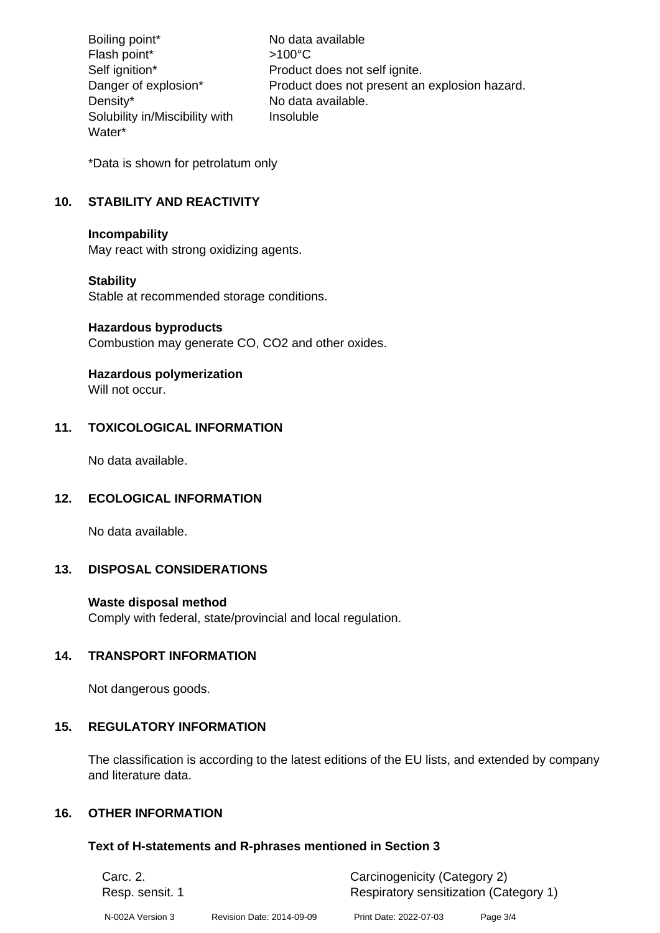Boiling point\* No data available Flash point\*  $>100^{\circ}$ C Self ignition\* Product does not self ignite. Danger of explosion\* Product does not present an explosion hazard. Density\* No data available. Solubility in/Miscibility with Water\* Insoluble

\*Data is shown for petrolatum only

## **10. STABILITY AND REACTIVITY**

## **Incompability**

May react with strong oxidizing agents.

## **Stability**

Stable at recommended storage conditions.

## **Hazardous byproducts**

Combustion may generate CO, CO2 and other oxides.

## **Hazardous polymerization**

Will not occur.

## **11. TOXICOLOGICAL INFORMATION**

No data available.

## **12. ECOLOGICAL INFORMATION**

No data available.

## **13. DISPOSAL CONSIDERATIONS**

## **Waste disposal method**

Comply with federal, state/provincial and local regulation.

## **14. TRANSPORT INFORMATION**

Not dangerous goods.

## **15. REGULATORY INFORMATION**

The classification is according to the latest editions of the EU lists, and extended by company and literature data.

## **16. OTHER INFORMATION**

## **Text of H-statements and R-phrases mentioned in Section 3**

| Carc. 2.         |                           | Carcinogenicity (Category 2)           |          |  |
|------------------|---------------------------|----------------------------------------|----------|--|
| Resp. sensit. 1  |                           | Respiratory sensitization (Category 1) |          |  |
| N-002A Version 3 | Revision Date: 2014-09-09 | Print Date: 2022-07-03                 | Page 3/4 |  |